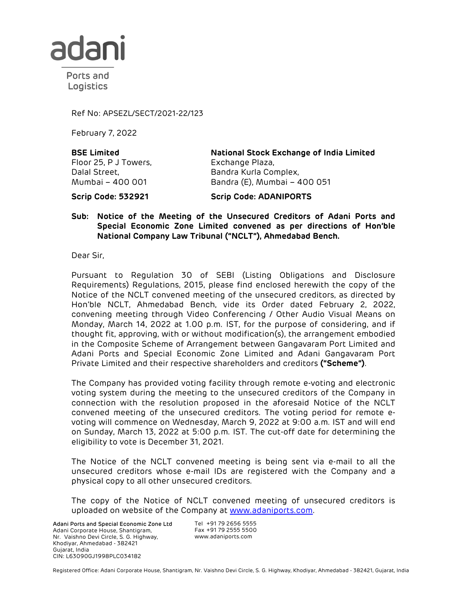

Ports and Logistics

Ref No: APSEZL/SECT/2021-22/123

February 7, 2022

**BSE Limited**  Floor 25, P J Towers, Dalal Street, Mumbai – 400 001

**National Stock Exchange of India Limited**  Exchange Plaza, Bandra Kurla Complex, Bandra (E), Mumbai – 400 051

**Scrip Code: 532921 Scrip Code: ADANIPORTS**

## **Sub: Notice of the Meeting of the Unsecured Creditors of Adani Ports and Special Economic Zone Limited convened as per directions of Hon'ble National Company Law Tribunal ("NCLT"), Ahmedabad Bench.**

Dear Sir,

Pursuant to Regulation 30 of SEBI (Listing Obligations and Disclosure Requirements) Regulations, 2015, please find enclosed herewith the copy of the Notice of the NCLT convened meeting of the unsecured creditors, as directed by Hon'ble NCLT, Ahmedabad Bench, vide its Order dated February 2, 2022, convening meeting through Video Conferencing / Other Audio Visual Means on Monday, March 14, 2022 at 1.00 p.m. IST, for the purpose of considering, and if thought fit, approving, with or without modification(s), the arrangement embodied in the Composite Scheme of Arrangement between Gangavaram Port Limited and Adani Ports and Special Economic Zone Limited and Adani Gangavaram Port Private Limited and their respective shareholders and creditors **("Scheme")**.

The Company has provided voting facility through remote e-voting and electronic voting system during the meeting to the unsecured creditors of the Company in connection with the resolution proposed in the aforesaid Notice of the NCLT convened meeting of the unsecured creditors. The voting period for remote evoting will commence on Wednesday, March 9, 2022 at 9:00 a.m. IST and will end on Sunday, March 13, 2022 at 5:00 p.m. IST. The cut-off date for determining the eligibility to vote is December 31, 2021.

The Notice of the NCLT convened meeting is being sent via e-mail to all the unsecured creditors whose e-mail IDs are registered with the Company and a physical copy to all other unsecured creditors.

The copy of the Notice of NCLT convened meeting of unsecured creditors is uploaded on website of the Company at www.adaniports.com.

Adani Ports and Special Economic Zone Ltd Adani Corporate House, Shantigram, Nr. Vaishno Devi Circle, S. G. Highway, Khodiyar, Ahmedabad - 382421 Gujarat, India CIN: L63090GJ1998PLC034182

Tel +91 79 2656 5555 Fax +91 79 2555 5500 www.adaniports.com